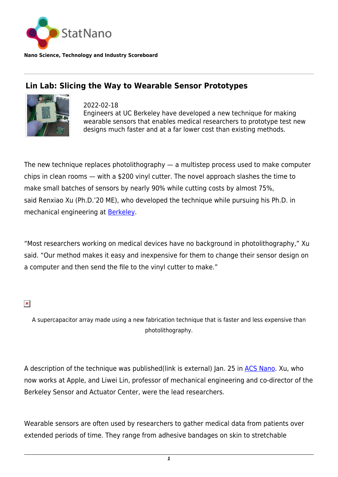

**Nano Science, Technology and Industry Scoreboard**

## **Lin Lab: Slicing the Way to Wearable Sensor Prototypes**



2022-02-18 Engineers at UC Berkeley have developed a new technique for making wearable sensors that enables medical researchers to prototype test new designs much faster and at a far lower cost than existing methods.

The new technique replaces photolithography  $-$  a multistep process used to make computer chips in clean rooms — with a \$200 vinyl cutter. The novel approach slashes the time to make small batches of sensors by nearly 90% while cutting costs by almost 75%, said Renxiao Xu (Ph.D.'20 ME), who developed the technique while pursuing his Ph.D. in mechanical engineering at [Berkeley.](https://statnano.com/org/University-of-California-Berkeley)

"Most researchers working on medical devices have no background in photolithography," Xu said. "Our method makes it easy and inexpensive for them to change their sensor design on a computer and then send the file to the vinyl cutter to make."

 $\pmb{\times}$ 

A supercapacitor array made using a new fabrication technique that is faster and less expensive than photolithography.

A description of the technique was published(link is external) Jan. 25 in [ACS Nano.](https://pubs.acs.org/doi/10.1021/acsnano.1c10011) Xu, who now works at Apple, and Liwei Lin, professor of mechanical engineering and co-director of the Berkeley Sensor and Actuator Center, were the lead researchers.

Wearable sensors are often used by researchers to gather medical data from patients over extended periods of time. They range from adhesive bandages on skin to stretchable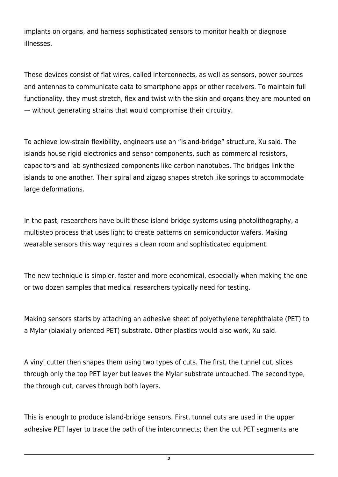implants on organs, and harness sophisticated sensors to monitor health or diagnose illnesses.

These devices consist of flat wires, called interconnects, as well as sensors, power sources and antennas to communicate data to smartphone apps or other receivers. To maintain full functionality, they must stretch, flex and twist with the skin and organs they are mounted on — without generating strains that would compromise their circuitry.

To achieve low-strain flexibility, engineers use an "island-bridge" structure, Xu said. The islands house rigid electronics and sensor components, such as commercial resistors, capacitors and lab-synthesized components like carbon nanotubes. The bridges link the islands to one another. Their spiral and zigzag shapes stretch like springs to accommodate large deformations.

In the past, researchers have built these island-bridge systems using photolithography, a multistep process that uses light to create patterns on semiconductor wafers. Making wearable sensors this way requires a clean room and sophisticated equipment.

The new technique is simpler, faster and more economical, especially when making the one or two dozen samples that medical researchers typically need for testing.

Making sensors starts by attaching an adhesive sheet of polyethylene terephthalate (PET) to a Mylar (biaxially oriented PET) substrate. Other plastics would also work, Xu said.

A vinyl cutter then shapes them using two types of cuts. The first, the tunnel cut, slices through only the top PET layer but leaves the Mylar substrate untouched. The second type, the through cut, carves through both layers.

This is enough to produce island-bridge sensors. First, tunnel cuts are used in the upper adhesive PET layer to trace the path of the interconnects; then the cut PET segments are

*2*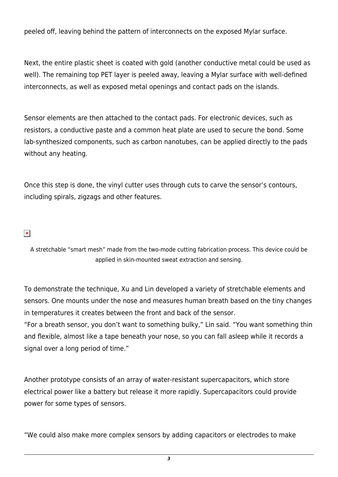peeled off, leaving behind the pattern of interconnects on the exposed Mylar surface.

Next, the entire plastic sheet is coated with gold (another conductive metal could be used as well). The remaining top PET layer is peeled away, leaving a Mylar surface with well-defined interconnects, as well as exposed metal openings and contact pads on the islands.

Sensor elements are then attached to the contact pads. For electronic devices, such as resistors, a conductive paste and a common heat plate are used to secure the bond. Some lab-synthesized components, such as carbon nanotubes, can be applied directly to the pads without any heating.

Once this step is done, the vinyl cutter uses through cuts to carve the sensor's contours, including spirals, zigzags and other features.

## $\pmb{\times}$

A stretchable "smart mesh" made from the two-mode cutting fabrication process. This device could be applied in skin-mounted sweat extraction and sensing.

To demonstrate the technique, Xu and Lin developed a variety of stretchable elements and sensors. One mounts under the nose and measures human breath based on the tiny changes in temperatures it creates between the front and back of the sensor.

"For a breath sensor, you don't want to something bulky," Lin said. "You want something thin and flexible, almost like a tape beneath your nose, so you can fall asleep while it records a signal over a long period of time."

Another prototype consists of an array of water-resistant supercapacitors, which store electrical power like a battery but release it more rapidly. Supercapacitors could provide power for some types of sensors.

"We could also make more complex sensors by adding capacitors or electrodes to make